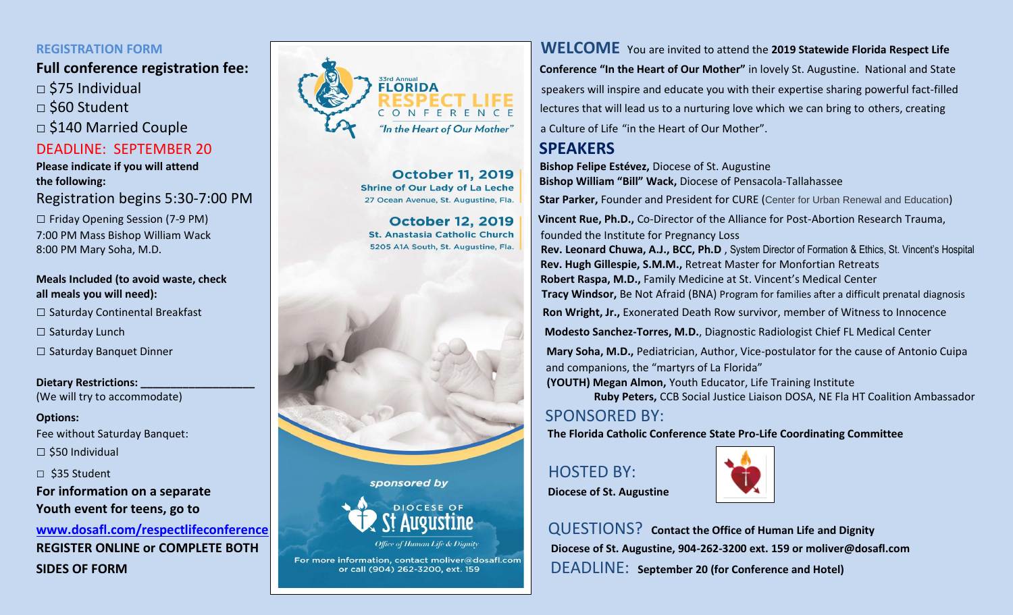- 
- 

# DEADLINE: SEPTEMBER 20 **SPEAKERS**

7:00 PM Mass Bishop William Wack **St. Anastasia Catholic Church** founded the Institute for Pregnancy Loss S205 A1A South, St. Augustine, Fla. **Founded the Institute for Pregnancy Loss** S205 A1A South, St. Augustine, Fla.

 $\square$  \$50 Individual

**Youth event for teens, go to** 







**REGISTRATION FORM WELCOME** You are invited to attend the **2019 Statewide Florida Respect Life Full conference registration fee:**  $\Box$  and State and **Conference** "In the Heart of Our Mother" in lovely St. Augustine. National and State and State speakers will inspire and educate you with their expertise sharing now □ \$75 Individual speakers will inspire and educate you with their expertise sharing powerful fact-filled □ \$60 Student and the state of the state of the state of the state will lead us to a nurturing love which we can bring to others, creating

**Please indicate if you will attend Controller 11, 2019 | Bishop Felipe Estévez, Diocese of St. Augustine** the following: **Bishop William "Bill" Wack, Diocese of Pensacola-Tallahassee Shrine of Our Lady of La Leche Bishop William "Bill" Wack, Diocese of Pensacola-Tallahassee** 

Registration begins 5:30-7:00 PM and Education) 27 Ocean Avenue, St. Augustine, Fla. Star Parker, Founder and President for CURE (Center for Urban Renewal and Education)

□ Friday Opening Session (7-9 PM) **Vincent Rue, Ph.D., Co-Director of the Alliance for Post-Abortion Research Trauma,** 

8:00 PM Mary Soha, M.D. **Rev. Leonard Chuwa, A.J., BCC, Ph.D**, System Director of Formation & Ethics, St. Vincent's Hospital  **Rev. Hugh Gillespie, S.M.M.,** Retreat Master for Monfortian Retreats **Meals Included (to avoid waste, check Robert Robert Raspa, M.D., Family Medicine at St. Vincent's Medical Center** 

**all meals you will need):** The state of the state of the state of the state of the state of the state of the state of the state of the state of the state of the state of the state of the state of the state of the state of

□ Saturday Continental Breakfast **Ron Wright, Ir., Exonerated Death Row survivor, member of Witness to Innocence** 

□ Saturday Lunch **Modesto Sanchez-Torres, M.D.**, Diagnostic Radiologist Chief FL Medical Center

□ Saturday Banquet Dinner **Mary Soha, M.D., Pediatrician, Author, Vice-postulator for the cause of Antonio Cuipa** and companions, the "martyrs of La Florida"

**Dietary Restrictions: We are the contract of the strictions of the strictions of the contract of the strictions of the strictions of the strictions of the strictions of the strictions of the strictions of the strictions** 

(We will try to accommodate) **Ruby Peters,** CCB Social Justice Liaison DOSA, NE Fla HT Coalition Ambassador

Fee without Saturday Banquet: **The Florida Catholic Conference State Pro-Life Coordinating Committee** 

**For information on a separate** *Discussion on a separate**all sponsored by* **<b>Diocese of St. Augustine** 



**www.dosafl.com/respectlifeconference LAD: AUSUSITIC** QUESTIONS? Contact the Office of Human Life and Dignity **REGISTER ONLINE OF COMPLETE BOTH Diocese of St. Augustine, 904-262-3200 ext. 159 or moliver@dosafl.com SIDES OF FORM DEADLINE:** September 20 (for Conference and Hotel)